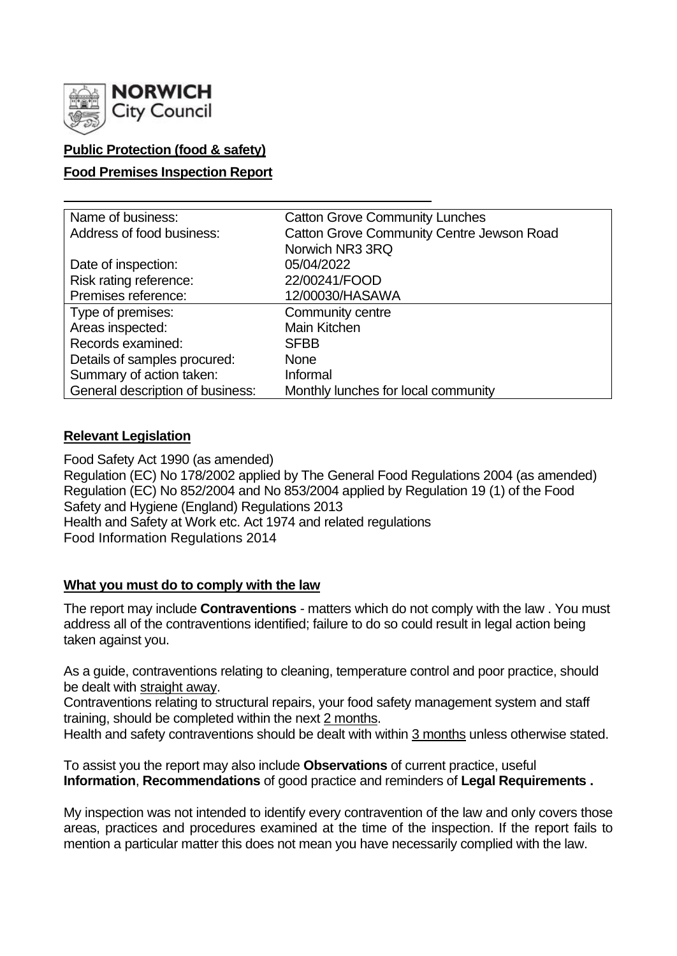

# **Public Protection (food & safety)**

## **Food Premises Inspection Report**

| Name of business:                | <b>Catton Grove Community Lunches</b>            |  |  |  |
|----------------------------------|--------------------------------------------------|--|--|--|
| Address of food business:        | <b>Catton Grove Community Centre Jewson Road</b> |  |  |  |
|                                  | Norwich NR3 3RQ                                  |  |  |  |
| Date of inspection:              | 05/04/2022                                       |  |  |  |
| Risk rating reference:           | 22/00241/FOOD                                    |  |  |  |
| Premises reference:              | 12/00030/HASAWA                                  |  |  |  |
| Type of premises:                | Community centre                                 |  |  |  |
| Areas inspected:                 | Main Kitchen                                     |  |  |  |
| Records examined:                | <b>SFBB</b>                                      |  |  |  |
| Details of samples procured:     | <b>None</b>                                      |  |  |  |
| Summary of action taken:         | Informal                                         |  |  |  |
| General description of business: | Monthly lunches for local community              |  |  |  |

#### **Relevant Legislation**

Food Safety Act 1990 (as amended) Regulation (EC) No 178/2002 applied by The General Food Regulations 2004 (as amended) Regulation (EC) No 852/2004 and No 853/2004 applied by Regulation 19 (1) of the Food Safety and Hygiene (England) Regulations 2013 Health and Safety at Work etc. Act 1974 and related regulations Food Information Regulations 2014

#### **What you must do to comply with the law**

The report may include **Contraventions** - matters which do not comply with the law . You must address all of the contraventions identified; failure to do so could result in legal action being taken against you.

As a guide, contraventions relating to cleaning, temperature control and poor practice, should be dealt with straight away.

Contraventions relating to structural repairs, your food safety management system and staff training, should be completed within the next 2 months.

Health and safety contraventions should be dealt with within 3 months unless otherwise stated.

To assist you the report may also include **Observations** of current practice, useful **Information**, **Recommendations** of good practice and reminders of **Legal Requirements .**

My inspection was not intended to identify every contravention of the law and only covers those areas, practices and procedures examined at the time of the inspection. If the report fails to mention a particular matter this does not mean you have necessarily complied with the law.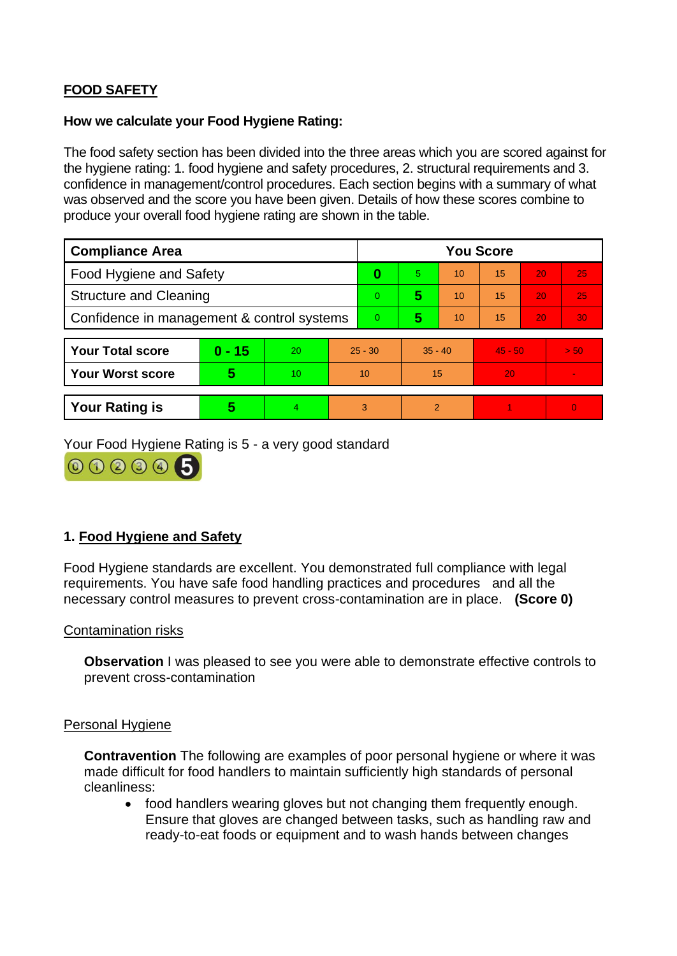# **FOOD SAFETY**

#### **How we calculate your Food Hygiene Rating:**

The food safety section has been divided into the three areas which you are scored against for the hygiene rating: 1. food hygiene and safety procedures, 2. structural requirements and 3. confidence in management/control procedures. Each section begins with a summary of what was observed and the score you have been given. Details of how these scores combine to produce your overall food hygiene rating are shown in the table.

| <b>Compliance Area</b>                     |          |    |           | <b>You Score</b> |               |    |           |    |                |
|--------------------------------------------|----------|----|-----------|------------------|---------------|----|-----------|----|----------------|
| Food Hygiene and Safety                    |          |    |           | 0                | 5             | 10 | 15        | 20 | 25             |
| <b>Structure and Cleaning</b>              |          |    |           | $\Omega$         | 5             | 10 | 15        | 20 | 25             |
| Confidence in management & control systems |          |    | $\Omega$  | 5                | 10            | 15 | 20        | 30 |                |
|                                            |          |    |           |                  |               |    |           |    |                |
| <b>Your Total score</b>                    | $0 - 15$ | 20 | $25 - 30$ |                  | $35 - 40$     |    | $45 - 50$ |    | > 50           |
| <b>Your Worst score</b>                    | 5        | 10 | 10        |                  | 15            |    | 20        |    | $\blacksquare$ |
|                                            |          |    |           |                  |               |    |           |    |                |
| <b>Your Rating is</b>                      | 5        | 4  |           | 3                | $\mathcal{P}$ |    |           |    | $\overline{0}$ |

Your Food Hygiene Rating is 5 - a very good standard



# **1. Food Hygiene and Safety**

Food Hygiene standards are excellent. You demonstrated full compliance with legal requirements. You have safe food handling practices and procedures and all the necessary control measures to prevent cross-contamination are in place. **(Score 0)**

#### Contamination risks

**Observation** I was pleased to see you were able to demonstrate effective controls to prevent cross-contamination

#### Personal Hygiene

**Contravention** The following are examples of poor personal hygiene or where it was made difficult for food handlers to maintain sufficiently high standards of personal cleanliness:

• food handlers wearing gloves but not changing them frequently enough. Ensure that gloves are changed between tasks, such as handling raw and ready-to-eat foods or equipment and to wash hands between changes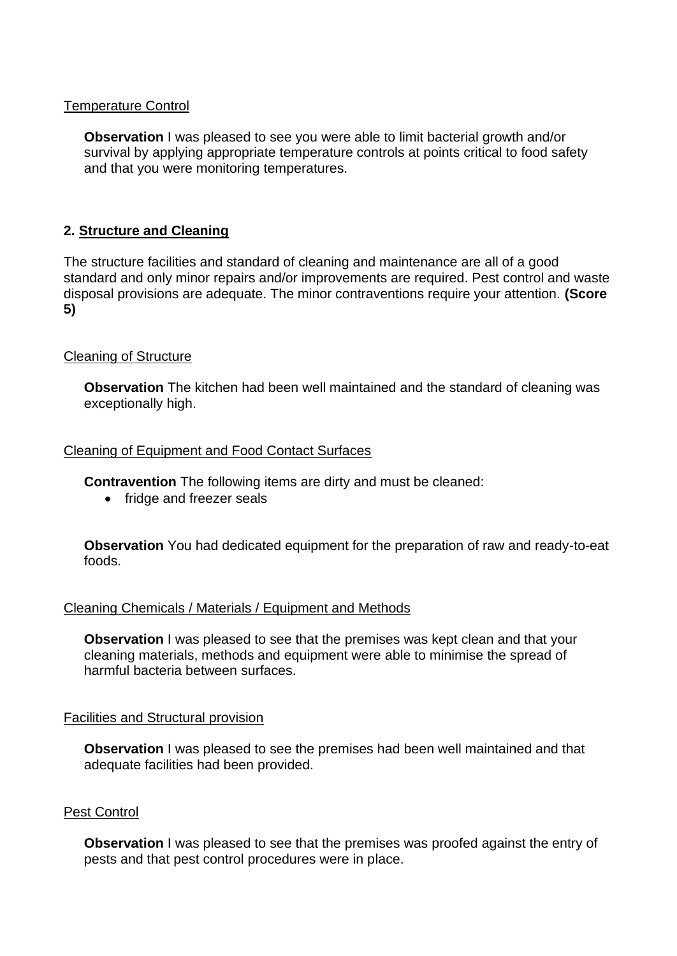#### Temperature Control

**Observation** I was pleased to see you were able to limit bacterial growth and/or survival by applying appropriate temperature controls at points critical to food safety and that you were monitoring temperatures.

## **2. Structure and Cleaning**

The structure facilities and standard of cleaning and maintenance are all of a good standard and only minor repairs and/or improvements are required. Pest control and waste disposal provisions are adequate. The minor contraventions require your attention. **(Score 5)**

## Cleaning of Structure

**Observation** The kitchen had been well maintained and the standard of cleaning was exceptionally high.

#### Cleaning of Equipment and Food Contact Surfaces

**Contravention** The following items are dirty and must be cleaned:

• fridge and freezer seals

**Observation** You had dedicated equipment for the preparation of raw and ready-to-eat foods.

#### Cleaning Chemicals / Materials / Equipment and Methods

**Observation** I was pleased to see that the premises was kept clean and that your cleaning materials, methods and equipment were able to minimise the spread of harmful bacteria between surfaces.

#### Facilities and Structural provision

**Observation** I was pleased to see the premises had been well maintained and that adequate facilities had been provided.

#### Pest Control

**Observation** I was pleased to see that the premises was proofed against the entry of pests and that pest control procedures were in place.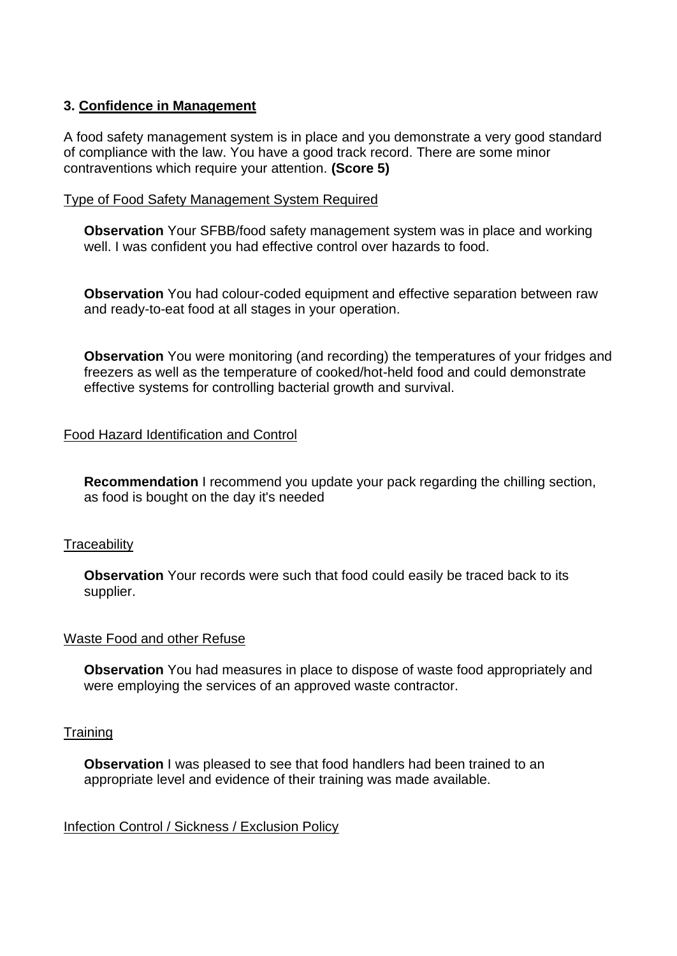## **3. Confidence in Management**

A food safety management system is in place and you demonstrate a very good standard of compliance with the law. You have a good track record. There are some minor contraventions which require your attention. **(Score 5)**

#### Type of Food Safety Management System Required

**Observation** Your SFBB/food safety management system was in place and working well. I was confident you had effective control over hazards to food.

**Observation** You had colour-coded equipment and effective separation between raw and ready-to-eat food at all stages in your operation.

**Observation** You were monitoring (and recording) the temperatures of your fridges and freezers as well as the temperature of cooked/hot-held food and could demonstrate effective systems for controlling bacterial growth and survival.

# Food Hazard Identification and Control

**Recommendation** I recommend you update your pack regarding the chilling section, as food is bought on the day it's needed

#### **Traceability**

**Observation** Your records were such that food could easily be traced back to its supplier.

#### Waste Food and other Refuse

**Observation** You had measures in place to dispose of waste food appropriately and were employing the services of an approved waste contractor.

#### **Training**

**Observation** I was pleased to see that food handlers had been trained to an appropriate level and evidence of their training was made available.

Infection Control / Sickness / Exclusion Policy